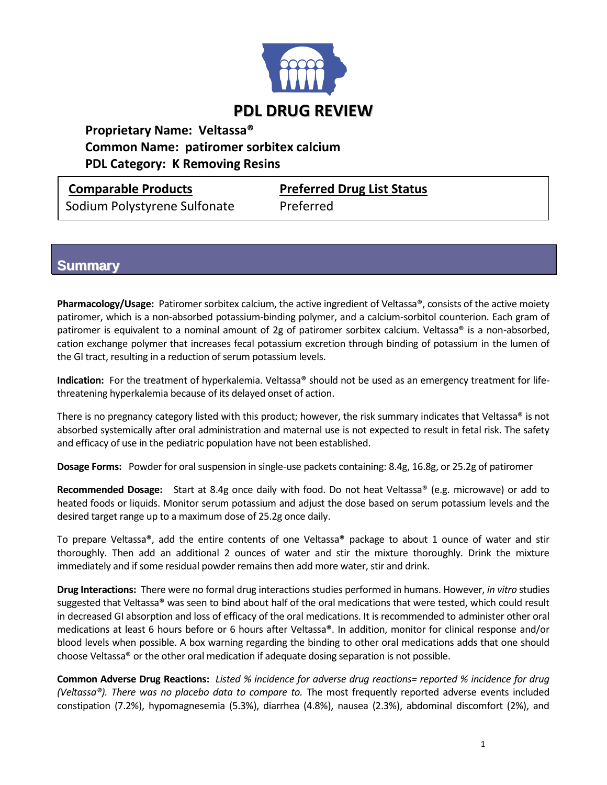

### **Proprietary Name: Veltassa® Common Name: patiromer sorbitex calcium PDL Category: K Removing Resins**

Sodium Polystyrene Sulfonate Preferred

**Comparable Products Preferred Drug List Status**

# **Summary**

**Pharmacology/Usage:** Patiromer sorbitex calcium, the active ingredient of Veltassa®, consists of the active moiety patiromer, which is a non-absorbed potassium-binding polymer, and a calcium-sorbitol counterion. Each gram of patiromer is equivalent to a nominal amount of 2g of patiromer sorbitex calcium. Veltassa® is a non-absorbed, cation exchange polymer that increases fecal potassium excretion through binding of potassium in the lumen of the GI tract, resulting in a reduction of serum potassium levels.

**Indication:** For the treatment of hyperkalemia. Veltassa® should not be used as an emergency treatment for lifethreatening hyperkalemia because of its delayed onset of action.

There is no pregnancy category listed with this product; however, the risk summary indicates that Veltassa<sup>®</sup> is not absorbed systemically after oral administration and maternal use is not expected to result in fetal risk. The safety and efficacy of use in the pediatric population have not been established.

**Dosage Forms:** Powder for oral suspension in single-use packets containing: 8.4g, 16.8g, or 25.2g of patiromer

**Recommended Dosage:** Start at 8.4g once daily with food. Do not heat Veltassa® (e.g. microwave) or add to heated foods or liquids. Monitor serum potassium and adjust the dose based on serum potassium levels and the desired target range up to a maximum dose of 25.2g once daily.

To prepare Veltassa®, add the entire contents of one Veltassa® package to about 1 ounce of water and stir thoroughly. Then add an additional 2 ounces of water and stir the mixture thoroughly. Drink the mixture immediately and if some residual powder remains then add more water, stir and drink.

**Drug Interactions:** There were no formal drug interactions studies performed in humans. However, *in vitro* studies suggested that Veltassa® was seen to bind about half of the oral medications that were tested, which could result in decreased GI absorption and loss of efficacy of the oral medications. It is recommended to administer other oral medications at least 6 hours before or 6 hours after Veltassa®. In addition, monitor for clinical response and/or blood levels when possible. A box warning regarding the binding to other oral medications adds that one should choose Veltassa® or the other oral medication if adequate dosing separation is not possible.

**Common Adverse Drug Reactions:** *Listed % incidence for adverse drug reactions= reported % incidence for drug (Veltassa®). There was no placebo data to compare to.* The most frequently reported adverse events included constipation (7.2%), hypomagnesemia (5.3%), diarrhea (4.8%), nausea (2.3%), abdominal discomfort (2%), and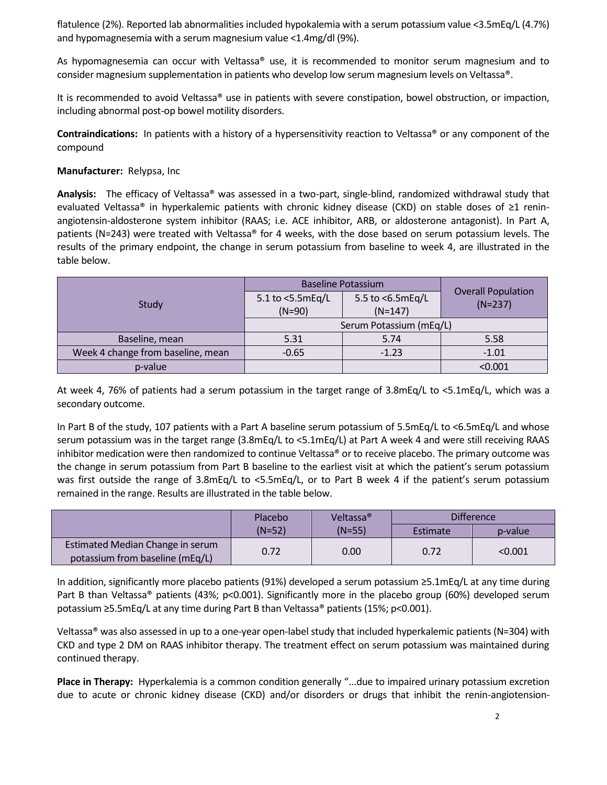flatulence (2%). Reported lab abnormalities included hypokalemia with a serum potassium value <3.5mEq/L (4.7%) and hypomagnesemia with a serum magnesium value <1.4mg/dl (9%).

As hypomagnesemia can occur with Veltassa<sup>®</sup> use, it is recommended to monitor serum magnesium and to consider magnesium supplementation in patients who develop low serum magnesium levels on Veltassa®.

It is recommended to avoid Veltassa® use in patients with severe constipation, bowel obstruction, or impaction, including abnormal post-op bowel motility disorders.

**Contraindications:** In patients with a history of a hypersensitivity reaction to Veltassa® or any component of the compound

#### **Manufacturer:** Relypsa, Inc

**Analysis:** The efficacy of Veltassa® was assessed in a two-part, single-blind, randomized withdrawal study that evaluated Veltassa® in hyperkalemic patients with chronic kidney disease (CKD) on stable doses of ≥1 reninangiotensin-aldosterone system inhibitor (RAAS; i.e. ACE inhibitor, ARB, or aldosterone antagonist). In Part A, patients (N=243) were treated with Veltassa® for 4 weeks, with the dose based on serum potassium levels. The results of the primary endpoint, the change in serum potassium from baseline to week 4, are illustrated in the table below.

| Study                             | <b>Baseline Potassium</b>    |                               | <b>Overall Population</b> |  |
|-----------------------------------|------------------------------|-------------------------------|---------------------------|--|
|                                   | 5.1 to <5.5mEq/L<br>$(N=90)$ | 5.5 to <6.5mEq/L<br>$(N=147)$ | $(N=237)$                 |  |
|                                   | Serum Potassium (mEq/L)      |                               |                           |  |
| Baseline, mean                    | 5.31                         | 5.74                          | 5.58                      |  |
| Week 4 change from baseline, mean | $-0.65$                      | $-1.23$                       | $-1.01$                   |  |
| p-value                           |                              |                               | < 0.001                   |  |

At week 4, 76% of patients had a serum potassium in the target range of 3.8mEq/L to <5.1mEq/L, which was a secondary outcome.

In Part B of the study, 107 patients with a Part A baseline serum potassium of 5.5mEq/L to <6.5mEq/L and whose serum potassium was in the target range (3.8mEq/L to <5.1mEq/L) at Part A week 4 and were still receiving RAAS inhibitor medication were then randomized to continue Veltassa® or to receive placebo. The primary outcome was the change in serum potassium from Part B baseline to the earliest visit at which the patient's serum potassium was first outside the range of 3.8mEq/L to <5.5mEq/L, or to Part B week 4 if the patient's serum potassium remained in the range. Results are illustrated in the table below.

|                                                                     | Placebo  | Veltassa <sup>®</sup> | <b>Difference</b> |         |
|---------------------------------------------------------------------|----------|-----------------------|-------------------|---------|
|                                                                     | $(N=52)$ | $(N=55)$              | Estimate          | p-value |
| Estimated Median Change in serum<br>potassium from baseline (mEq/L) | 0.72     | 0.00                  | 0.72              | < 0.001 |

In addition, significantly more placebo patients (91%) developed a serum potassium ≥5.1mEq/L at any time during Part B than Veltassa® patients (43%; p<0.001). Significantly more in the placebo group (60%) developed serum potassium ≥5.5mEq/L at any time during Part B than Veltassa® patients (15%; p<0.001).

Veltassa® was also assessed in up to a one-year open-label study that included hyperkalemic patients (N=304) with CKD and type 2 DM on RAAS inhibitor therapy. The treatment effect on serum potassium was maintained during continued therapy.

**Place in Therapy:** Hyperkalemia is a common condition generally "...due to impaired urinary potassium excretion due to acute or chronic kidney disease (CKD) and/or disorders or drugs that inhibit the renin-angiotension-